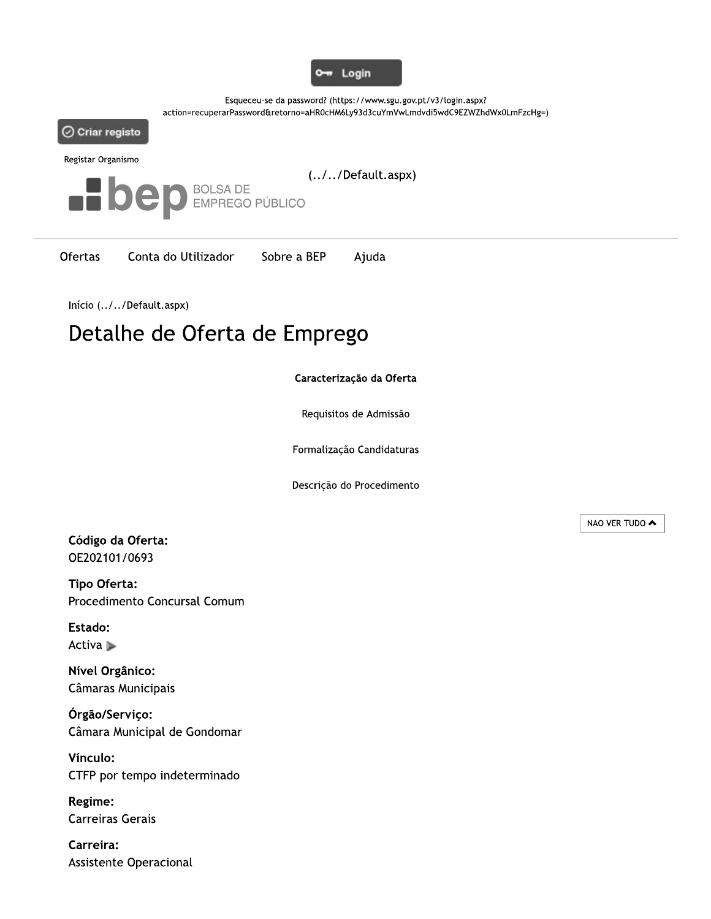

Esqueceu-se da password? (https://www.sgu.gov.pt/v3/login.aspx? action=recuperarPassword&retorno=aHR0cHM6Ly93d3cuYmVwLmdvdi5wdC9EZWZhdWx0LmFzcHg=)



Registar Organismo



**Ofertas** Conta do Utilizador Sobre a BEP Ajuda

Início (../../Default.aspx)

# Detalhe de Oferta de Emprego

#### Caracterização da Oferta

Requisitos de Admissão

Formalização Candidaturas

Descrição do Procedimento

Código da Oferta: OE202101/0693

Tipo Oferta: Procedimento Concursal Comum

Estado: Activa ▶

Nível Orgânico: Câmaras Municipais

Órgão/Serviço: Câmara Municipal de Gondomar

Vínculo: CTFP por tempo indeterminado

Regime: **Carreiras Gerais** 

Carreira: Assistente Operacional NAO VER TUDO ▲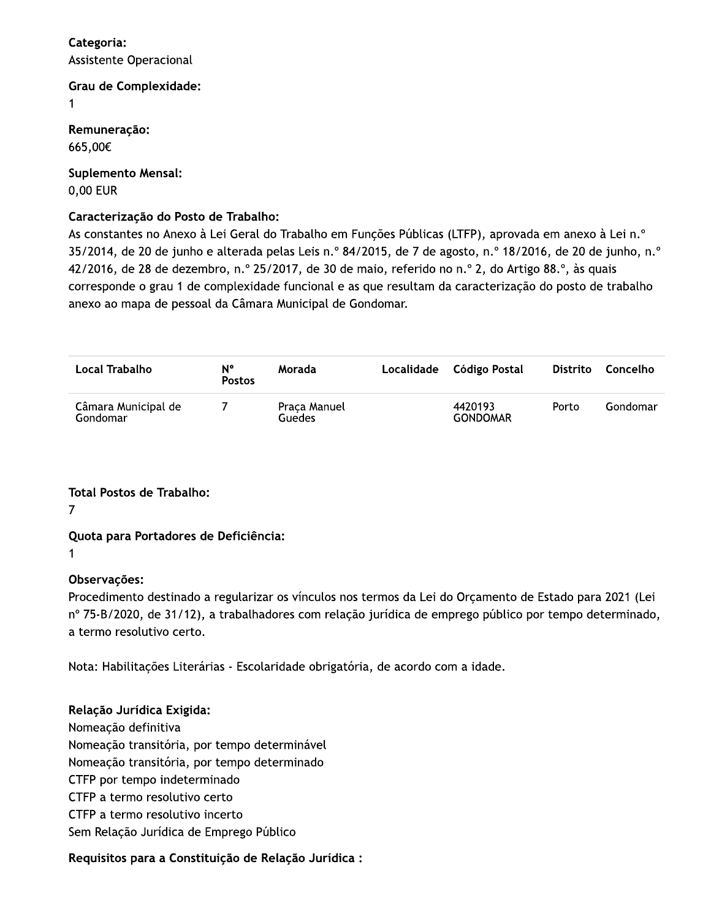### Categoria: **Assistente Operacional**

**Grau de Complexidade:** 

 $\mathbf{1}$ 

Remuneração: 665,00€

**Suplemento Mensal:** 0,00 EUR

## Caracterização do Posto de Trabalho:

^4. As constantes no Anexo à Lei Geral do Trabalho em Funções Públicas (LTFP), aprovada em anexo à Lei n 35/2014, de 20 de junho e alterada pelas Leis n.º 84/2015, de 7 de agosto, n.º 18/2016, de 20 de junho, n.º 42/2016, de 28 de dezembro, n.º 25/2017, de 30 de maio, referido no n.º 2, do Artigo 88.º, às quais corresponde o grau 1 de complexidade funcional e as que resultam da caracterização do posto de trabalho anexo ao mapa de pessoal da Câmara Municipal de Gondomar.

| Local Trabalho                  | N°<br><b>Postos</b> | Morada                 | Localidade | Código Postal              | <b>Distrito</b> | Concelho |
|---------------------------------|---------------------|------------------------|------------|----------------------------|-----------------|----------|
| Câmara Municipal de<br>Gondomar |                     | Praça Manuel<br>Guedes |            | 4420193<br><b>GONDOMAR</b> | Porto           | Gondomar |

**Total Postos de Trabalho:** 

 $\overline{7}$ 

# Quota para Portadores de Deficiência:

 $\mathbf 1$ 

# Observações:

Procedimento destinado a regularizar os vínculos nos termos da Lei do Orçamento de Estado para 2021 (Lei nº 75-B/2020, de 31/12), a trabalhadores com relação jurídica de emprego público por tempo determinado, a termo resolutivo certo.

Nota: Habilitações Literárias - Escolaridade obrigatória, de acordo com a idade.

# Relação Jurídica Exigida:

Nomeação definitiva Nomeação transitória, por tempo determinável Nomeação transitória, por tempo determinado CTFP por tempo indeterminado CTFP a termo resolutivo certo CTFP a termo resolutivo incerto Sem Relação Jurídica de Emprego Público

# Requisitos para a Constituição de Relação Jurídica :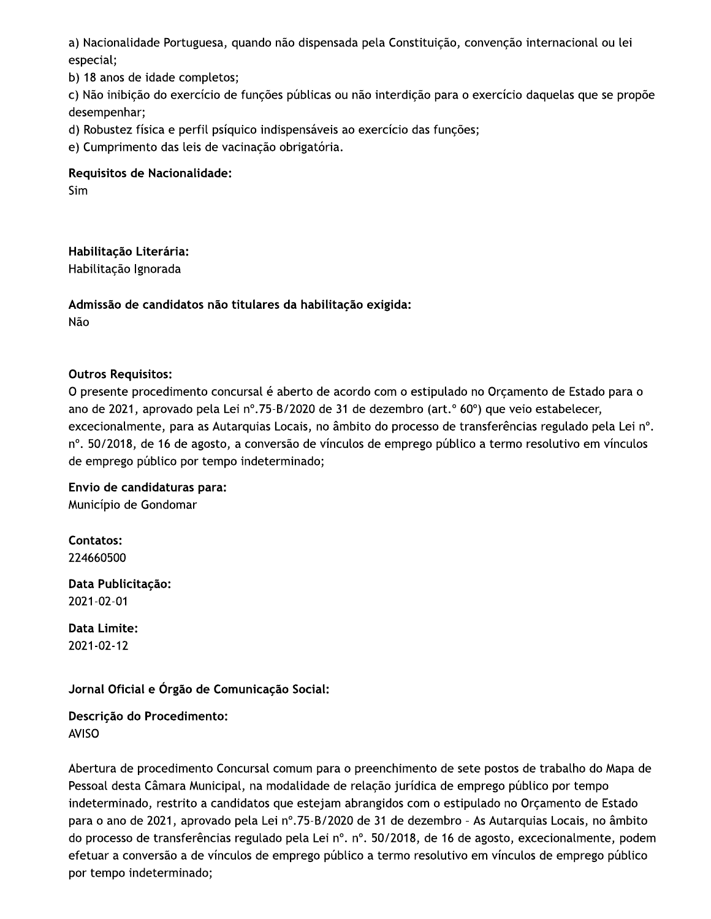a) Nacionalidade Portuguesa, quando não dispensada pela Constituição, convenção internacional ou lei especial;

b) 18 anos de idade completos;

c) Não inibição do exercício de funções públicas ou não interdição para o exercício daquelas que se propõe desempenhar;

d) Robustez física e perfil psíquico indispensáveis ao exercício das funções;

e) Cumprimento das leis de vacinação obrigatória.

Requisitos de Nacionalidade:

Sim

Habilitação Literária:

Habilitação Ignorada

Admissão de candidatos não titulares da habilitação exigida: Não

### **Outros Requisitos:**

O presente procedimento concursal é aberto de acordo com o estipulado no Orçamento de Estado para o ano de 2021, aprovado pela Lei nº.75-B/2020 de 31 de dezembro (art.º 60º) que veio estabelecer, excecionalmente, para as Autarquias Locais, no âmbito do processo de transferências regulado pela Lei nº. nº. 50/2018, de 16 de agosto, a conversão de vínculos de emprego público a termo resolutivo em vínculos de emprego público por tempo indeterminado;

Envio de candidaturas para: Município de Gondomar

**Contatos:** 224660500

Data Publicitação: 2021-02-01

Data Limite: 2021-02-12

### Jornal Oficial e Órgão de Comunicação Social:

Descrição do Procedimento: **AVISO** 

Abertura de procedimento Concursal comum para o preenchimento de sete postos de trabalho do Mapa de Pessoal desta Câmara Municipal, na modalidade de relação jurídica de emprego público por tempo indeterminado, restrito a candidatos que estejam abrangidos com o estipulado no Orçamento de Estado para o ano de 2021, aprovado pela Lei nº.75-B/2020 de 31 de dezembro - As Autarquias Locais, no âmbito do processo de transferências regulado pela Lei nº. nº. 50/2018, de 16 de agosto, excecionalmente, podem efetuar a conversão a de vínculos de emprego público a termo resolutivo em vínculos de emprego público por tempo indeterminado;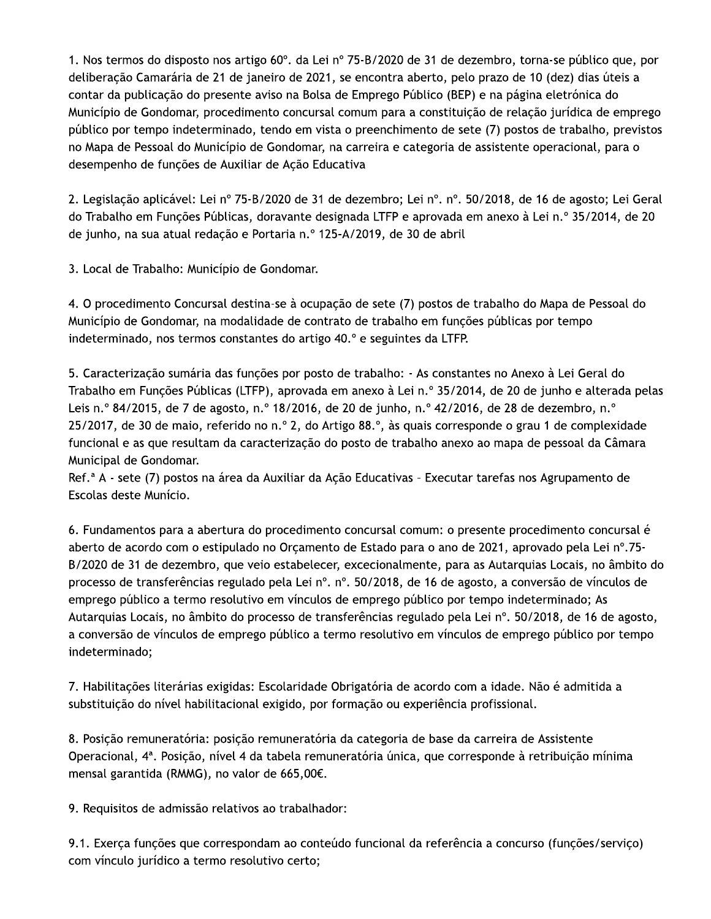1. Nos termos do disposto nos artigo 60°, da Lei nº 75-B/2020 de 31 de dezembro, torna-se público que, por deliberação Camarária de 21 de janeiro de 2021, se encontra aberto, pelo prazo de 10 (dez) dias úteis a contar da publicação do presente aviso na Bolsa de Emprego Público (BEP) e na página eletrónica do Município de Gondomar, procedimento concursal comum para a constituição de relação jurídica de emprego público por tempo indeterminado, tendo em vista o preenchimento de sete (7) postos de trabalho, previstos no Mapa de Pessoal do Município de Gondomar, na carreira e categoria de assistente operacional, para o desempenho de funções de Auxiliar de Ação Educativa

2. Legislação aplicável: Lei nº 75-B/2020 de 31 de dezembro: Lei nº. nº. 50/2018, de 16 de agosto: Lei Geral do Trabalho em Funções Públicas, doravante designada LTFP e aprovada em anexo à Lei n.º 35/2014, de 20 de junho, na sua atual redação e Portaria n.º 125-A/2019, de 30 de abril

3. Local de Trabalho: Município de Gondomar.

4. O procedimento Concursal destina-se à ocupação de sete (7) postos de trabalho do Mapa de Pessoal do Município de Gondomar, na modalidade de contrato de trabalho em funções públicas por tempo indeterminado, nos termos constantes do artigo 40.º e seguintes da LTFP.

5. Caracterização sumária das funções por posto de trabalho: - As constantes no Anexo à Lei Geral do Trabalho em Funções Públicas (LTFP), aprovada em anexo à Lei n.º 35/2014, de 20 de junho e alterada pelas Leis n.º 84/2015, de 7 de agosto, n.º 18/2016, de 20 de junho, n.º 42/2016, de 28 de dezembro, n.º 25/2017, de 30 de maio, referido no n.º 2, do Artigo 88.º, às quais corresponde o grau 1 de complexidade funcional e as que resultam da caracterização do posto de trabalho anexo ao mapa de pessoal da Câmara Municipal de Gondomar.

Ref.<sup>a</sup> A - sete (7) postos na área da Auxiliar da Ação Educativas - Executar tarefas nos Agrupamento de Escolas deste Munício.

6. Fundamentos para a abertura do procedimento concursal comum: o presente procedimento concursal é aberto de acordo com o estipulado no Orçamento de Estado para o ano de 2021, aprovado pela Lei nº.75-B/2020 de 31 de dezembro, que veio estabelecer, excecionalmente, para as Autarquias Locais, no âmbito do processo de transferências regulado pela Lei nº. nº. 50/2018, de 16 de agosto, a conversão de vínculos de emprego público a termo resolutivo em vínculos de emprego público por tempo indeterminado; As Autarquias Locais, no âmbito do processo de transferências regulado pela Lei nº. 50/2018, de 16 de agosto, a conversão de vínculos de emprego público a termo resolutivo em vínculos de emprego público por tempo indeterminado;

7. Habilitações literárias exigidas: Escolaridade Obrigatória de acordo com a idade. Não é admitida a substituição do nível habilitacional exigido, por formação ou experiência profissional.

8. Posição remuneratória: posição remuneratória da categoria de base da carreira de Assistente Operacional, 4ª. Posição, nível 4 da tabela remuneratória única, que corresponde à retribuição mínima mensal garantida (RMMG), no valor de 665,00€.

9. Requisitos de admissão relativos ao trabalhador:

9.1. Exerça funções que correspondam ao conteúdo funcional da referência a concurso (funções/serviço) com vínculo jurídico a termo resolutivo certo;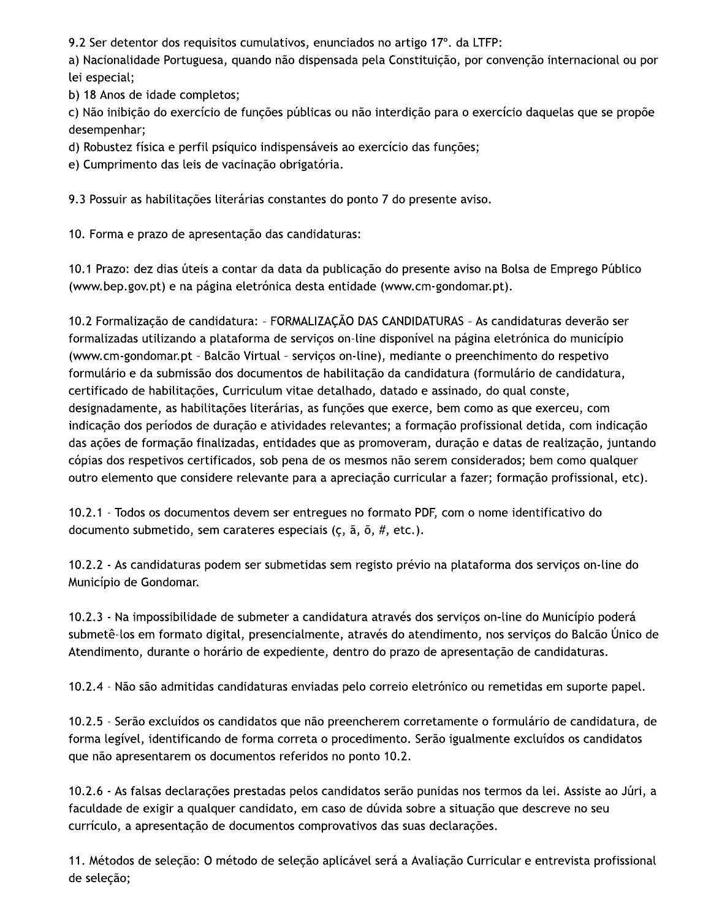9.2 Ser detentor dos requisitos cumulativos, enunciados no artigo 17°. da LTFP:

a) Nacionalidade Portuguesa, quando não dispensada pela Constituição, por convenção internacional ou por lei especial;

b) 18 Anos de idade completos;

c) Não inibição do exercício de funções públicas ou não interdição para o exercício daquelas que se propõe desempenhar;

d) Robustez física e perfil psíquico indispensáveis ao exercício das funções;

e) Cumprimento das leis de vacinação obrigatória.

9.3 Possuir as habilitações literárias constantes do ponto 7 do presente aviso.

10. Forma e prazo de apresentação das candidaturas:

10.1 Prazo: dez dias úteis a contar da data da publicação do presente aviso na Bolsa de Emprego Público (www.bep.gov.pt) e na página eletrónica desta entidade (www.cm-gondomar.pt).

10.2 Formalização de candidatura: - FORMALIZAÇÃO DAS CANDIDATURAS - As candidaturas deverão ser formalizadas utilizando a plataforma de serviços on-line disponível na página eletrónica do município (www.cm-gondomar.pt - Balcão Virtual - serviços on-line), mediante o preenchimento do respetivo formulário e da submissão dos documentos de habilitação da candidatura (formulário de candidatura, certificado de habilitações, Curriculum vitae detalhado, datado e assinado, do qual conste, designadamente, as habilitações literárias, as funções que exerce, bem como as que exerceu, com indicação dos períodos de duração e atividades relevantes; a formação profissional detida, com indicação das ações de formação finalizadas, entidades que as promoveram, duração e datas de realização, juntando cópias dos respetivos certificados, sob pena de os mesmos não serem considerados; bem como qualquer outro elemento que considere relevante para a apreciação curricular a fazer; formação profissional, etc).

10.2.1 - Todos os documentos devem ser entregues no formato PDF, com o nome identificativo do documento submetido, sem carateres especiais ( $\zeta$ ,  $\tilde{a}$ ,  $\tilde{o}$ ,  $\#$ , etc.).

10.2.2 - As candidaturas podem ser submetidas sem registo prévio na plataforma dos serviços on-line do Município de Gondomar.

10.2.3 - Na impossibilidade de submeter a candidatura através dos serviços on-line do Município poderá submetê-los em formato digital, presencialmente, através do atendimento, nos serviços do Balcão Único de Atendimento, durante o horário de expediente, dentro do prazo de apresentação de candidaturas.

10.2.4 - Não são admitidas candidaturas enviadas pelo correio eletrónico ou remetidas em suporte papel.

10.2.5 - Serão excluídos os candidatos que não preencherem corretamente o formulário de candidatura, de forma legível, identificando de forma correta o procedimento. Serão igualmente excluídos os candidatos que não apresentarem os documentos referidos no ponto 10.2.

10.2.6 - As falsas declarações prestadas pelos candidatos serão punidas nos termos da lei. Assiste ao Júri, a faculdade de exigir a qualquer candidato, em caso de dúvida sobre a situação que descreve no seu currículo, a apresentação de documentos comprovativos das suas declarações.

11. Métodos de seleção: O método de seleção aplicável será a Avaliação Curricular e entrevista profissional de seleção;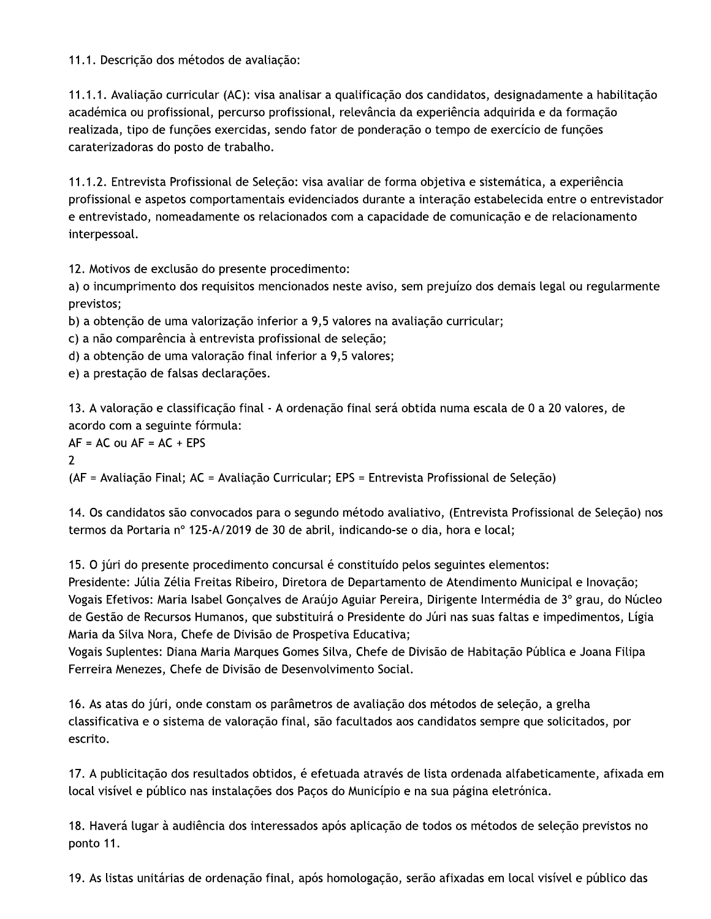11.1. Descrição dos métodos de avaliação:

11.1.1. Avaliação curricular (AC): visa analisar a qualificação dos candidatos, designadamente a habilitação académica ou profissional, percurso profissional, relevância da experiência adquirida e da formação realizada, tipo de funções exercidas, sendo fator de ponderação o tempo de exercício de funções caraterizadoras do posto de trabalho.

11.1.2. Entrevista Profissional de Seleção: visa avaliar de forma objetiva e sistemática, a experiência profissional e aspetos comportamentais evidenciados durante a interação estabelecida entre o entrevistador e entrevistado, nomeadamente os relacionados com a capacidade de comunicação e de relacionamento interpessoal.

12. Motivos de exclusão do presente procedimento:

a) o incumprimento dos requisitos mencionados neste aviso, sem prejuízo dos demais legal ou regularmente previstos;

b) a obtenção de uma valorização inferior a 9,5 valores na avaliação curricular;

c) a não comparência à entrevista profissional de seleção;

d) a obtenção de uma valoração final inferior a 9,5 valores;

e) a prestação de falsas declarações.

13. A valoração e classificação final - A ordenação final será obtida numa escala de 0 a 20 valores, de acordo com a seguinte fórmula:

 $AF = AC$  ou  $AF = AC + EPS$  $\overline{2}$ 

(AF = Avaliação Final; AC = Avaliação Curricular; EPS = Entrevista Profissional de Seleção)

14. Os candidatos são convocados para o segundo método avaliativo, (Entrevista Profissional de Seleção) nos termos da Portaria nº 125-A/2019 de 30 de abril, indicando-se o dia, hora e local;

15. O júri do presente procedimento concursal é constituído pelos seguintes elementos:

Presidente: Júlia Zélia Freitas Ribeiro, Diretora de Departamento de Atendimento Municipal e Inovação; Vogais Efetivos: Maria Isabel Gonçalves de Araújo Aguiar Pereira, Dirigente Intermédia de 3º grau, do Núcleo de Gestão de Recursos Humanos, que substituirá o Presidente do Júri nas suas faltas e impedimentos, Lígia Maria da Silva Nora, Chefe de Divisão de Prospetiva Educativa;

Vogais Suplentes: Diana Maria Marques Gomes Silva, Chefe de Divisão de Habitação Pública e Joana Filipa Ferreira Menezes, Chefe de Divisão de Desenvolvimento Social.

16. As atas do júri, onde constam os parâmetros de avaliação dos métodos de seleção, a grelha classificativa e o sistema de valoração final, são facultados aos candidatos sempre que solicitados, por escrito.

17. A publicitação dos resultados obtidos, é efetuada através de lista ordenada alfabeticamente, afixada em local visível e público nas instalações dos Paços do Município e na sua página eletrónica.

18. Haverá lugar à audiência dos interessados após aplicação de todos os métodos de seleção previstos no ponto 11.

19. As listas unitárias de ordenação final, após homologação, serão afixadas em local visível e público das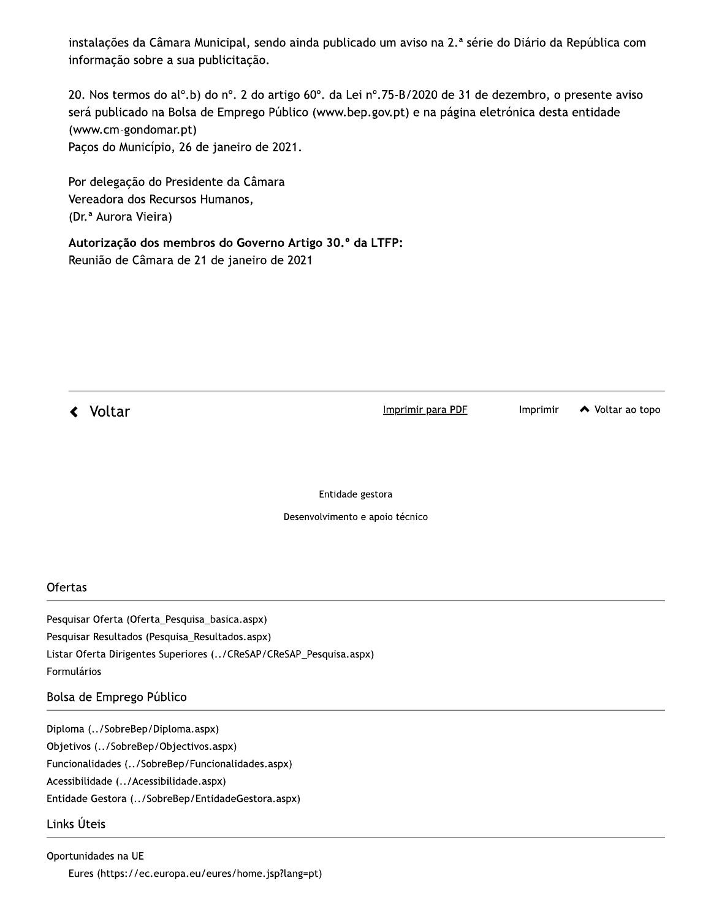instalações da Câmara Municipal, sendo ainda publicado um aviso na 2.ª série do Diário da República com informação sobre a sua publicitação.

20. Nos termos do alº.b) do nº. 2 do artigo 60°. da Lei nº.75-B/2020 de 31 de dezembro, o presente aviso será publicado na Bolsa de Emprego Público (www.bep.gov.pt) e na página eletrónica desta entidade (www.cm-gondomar.pt) Paços do Município, 26 de janeiro de 2021.

Por delegação do Presidente da Câmara Vereadora dos Recursos Humanos, (Dr.<sup>a</sup> Aurora Vieira)

Autorização dos membros do Governo Artigo 30.º da LTFP: Reunião de Câmara de 21 de janeiro de 2021

**く** Voltar

Imprimir para PDF

Imprimir

◆ Voltar ao topo

Entidade gestora

Desenvolvimento e apoio técnico

#### Ofertas

Pesquisar Oferta (Oferta\_Pesquisa\_basica.aspx) Pesquisar Resultados (Pesquisa\_Resultados.aspx) Listar Oferta Dirigentes Superiores (../CReSAP/CReSAP\_Pesquisa.aspx) Formulários

#### Bolsa de Emprego Público

Diploma (../SobreBep/Diploma.aspx) Objetivos (../SobreBep/Objectivos.aspx) Funcionalidades (../SobreBep/Funcionalidades.aspx) Acessibilidade (../Acessibilidade.aspx) Entidade Gestora (../SobreBep/EntidadeGestora.aspx)

#### Links Úteis